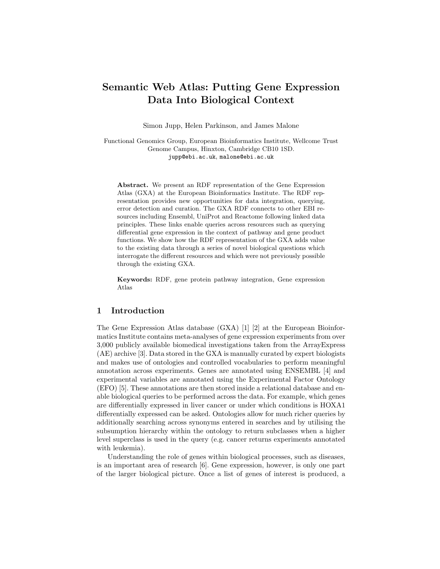# Semantic Web Atlas: Putting Gene Expression Data Into Biological Context

Simon Jupp, Helen Parkinson, and James Malone

Functional Genomics Group, European Bioinformatics Institute, Wellcome Trust Genome Campus, Hinxton, Cambridge CB10 1SD. jupp@ebi.ac.uk, malone@ebi.ac.uk

Abstract. We present an RDF representation of the Gene Expression Atlas (GXA) at the European Bioinformatics Institute. The RDF representation provides new opportunities for data integration, querying, error detection and curation. The GXA RDF connects to other EBI resources including Ensembl, UniProt and Reactome following linked data principles. These links enable queries across resources such as querying differential gene expression in the context of pathway and gene product functions. We show how the RDF representation of the GXA adds value to the existing data through a series of novel biological questions which interrogate the different resources and which were not previously possible through the existing GXA.

Keywords: RDF, gene protein pathway integration, Gene expression Atlas

## 1 Introduction

The Gene Expression Atlas database (GXA) [1] [2] at the European Bioinformatics Institute contains meta-analyses of gene expression experiments from over 3,000 publicly available biomedical investigations taken from the ArrayExpress (AE) archive [3]. Data stored in the GXA is manually curated by expert biologists and makes use of ontologies and controlled vocabularies to perform meaningful annotation across experiments. Genes are annotated using ENSEMBL [4] and experimental variables are annotated using the Experimental Factor Ontology (EFO) [5]. These annotations are then stored inside a relational database and enable biological queries to be performed across the data. For example, which genes are differentially expressed in liver cancer or under which conditions is HOXA1 differentially expressed can be asked. Ontologies allow for much richer queries by additionally searching across synonyms entered in searches and by utilising the subsumption hierarchy within the ontology to return subclasses when a higher level superclass is used in the query (e.g. cancer returns experiments annotated with leukemia).

Understanding the role of genes within biological processes, such as diseases, is an important area of research [6]. Gene expression, however, is only one part of the larger biological picture. Once a list of genes of interest is produced, a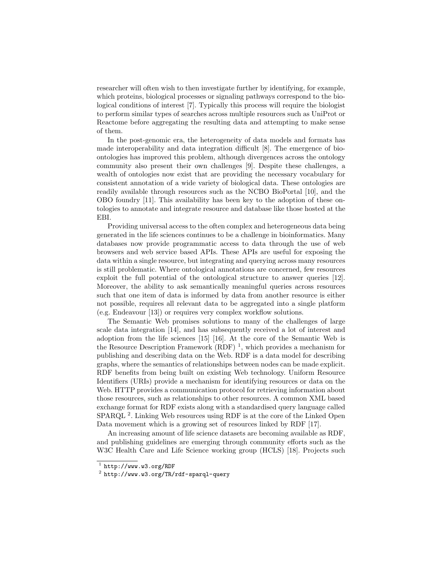researcher will often wish to then investigate further by identifying, for example, which proteins, biological processes or signaling pathways correspond to the biological conditions of interest [7]. Typically this process will require the biologist to perform similar types of searches across multiple resources such as UniProt or Reactome before aggregating the resulting data and attempting to make sense of them.

In the post-genomic era, the heterogeneity of data models and formats has made interoperability and data integration difficult [8]. The emergence of bioontologies has improved this problem, although divergences across the ontology community also present their own challenges [9]. Despite these challenges, a wealth of ontologies now exist that are providing the necessary vocabulary for consistent annotation of a wide variety of biological data. These ontologies are readily available through resources such as the NCBO BioPortal [10], and the OBO foundry [11]. This availability has been key to the adoption of these ontologies to annotate and integrate resource and database like those hosted at the EBI.

Providing universal access to the often complex and heterogeneous data being generated in the life sciences continues to be a challenge in bioinformatics. Many databases now provide programmatic access to data through the use of web browsers and web service based APIs. These APIs are useful for exposing the data within a single resource, but integrating and querying across many resources is still problematic. Where ontological annotations are concerned, few resources exploit the full potential of the ontological structure to answer queries [12]. Moreover, the ability to ask semantically meaningful queries across resources such that one item of data is informed by data from another resource is either not possible, requires all relevant data to be aggregated into a single platform (e.g. Endeavour [13]) or requires very complex workflow solutions.

The Semantic Web promises solutions to many of the challenges of large scale data integration [14], and has subsequently received a lot of interest and adoption from the life sciences [15] [16]. At the core of the Semantic Web is the Resource Description Framework (RDF)<sup>1</sup>, which provides a mechanism for publishing and describing data on the Web. RDF is a data model for describing graphs, where the semantics of relationships between nodes can be made explicit. RDF benefits from being built on existing Web technology. Uniform Resource Identifiers (URIs) provide a mechanism for identifying resources or data on the Web. HTTP provides a communication protocol for retrieving information about those resources, such as relationships to other resources. A common XML based exchange format for RDF exists along with a standardised query language called SPARQL<sup>2</sup>. Linking Web resources using RDF is at the core of the Linked Open Data movement which is a growing set of resources linked by RDF [17].

An increasing amount of life science datasets are becoming available as RDF, and publishing guidelines are emerging through community efforts such as the W3C Health Care and Life Science working group (HCLS) [18]. Projects such

 $<sup>1</sup>$  http://www.w3.org/RDF</sup>

 $^2$  http://www.w3.org/TR/rdf-sparql-query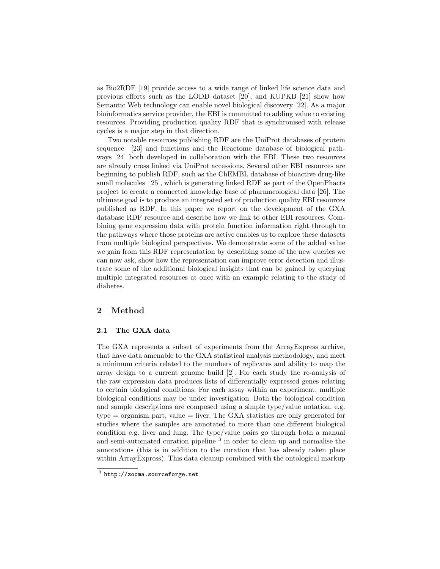as Bio2RDF [19] provide access to a wide range of linked life science data and previous efforts such as the LODD dataset [20], and KUPKB [21] show how Semantic Web technology can enable novel biological discovery [22]. As a major bioinformatics service provider, the EBI is committed to adding value to existing resources. Providing production quality RDF that is synchronised with release cycles is a major step in that direction.

Two notable resources publishing RDF are the UniProt databases of protein sequence [23] and functions and the Reactome database of biological pathways [24] both developed in collaboration with the EBI. These two resources are already cross linked via UniProt accessions. Several other EBI resources are beginning to publish RDF, such as the ChEMBL database of bioactive drug-like small molecules [25], which is generating linked RDF as part of the OpenPhacts project to create a connected knowledge base of pharmacological data [26]. The ultimate goal is to produce an integrated set of production quality EBI resources published as RDF. In this paper we report on the development of the GXA database RDF resource and describe how we link to other EBI resources. Combining gene expression data with protein function information right through to the pathways where those proteins are active enables us to explore these datasets from multiple biological perspectives. We demonstrate some of the added value we gain from this RDF representation by describing some of the new queries we can now ask, show how the representation can improve error detection and illustrate some of the additional biological insights that can be gained by querying multiple integrated resources at once with an example relating to the study of diabetes.

# 2 Method

## 2.1 The GXA data

The GXA represents a subset of experiments from the ArrayExpress archive, that have data amenable to the GXA statistical analysis methodology, and meet a minimum criteria related to the numbers of replicates and ability to map the array design to a current genome build [2]. For each study the re-analysis of the raw expression data produces lists of differentially expressed genes relating to certain biological conditions. For each assay within an experiment, multiple biological conditions may be under investigation. Both the biological condition and sample descriptions are composed using a simple type/value notation. e.g.  $type = organism$ -part, value  $=$  liver. The GXA statistics are only generated for studies where the samples are annotated to more than one different biological condition e.g. liver and lung. The type/value pairs go through both a manual and semi-automated curation pipeline<sup>3</sup> in order to clean up and normalise the annotations (this is in addition to the curation that has already taken place within ArrayExpress). This data cleanup combined with the ontological markup

 $^3$  http://zooma.sourceforge.net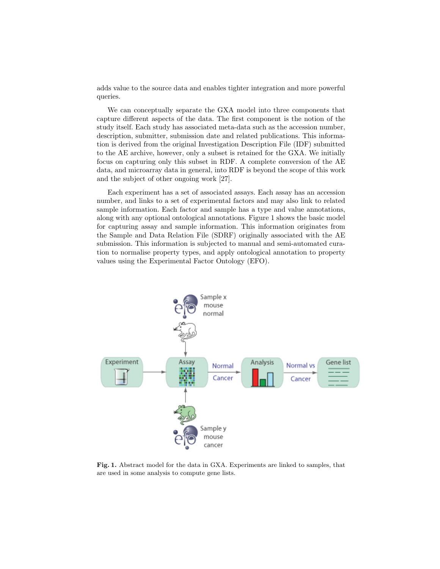adds value to the source data and enables tighter integration and more powerful queries.

We can conceptually separate the GXA model into three components that capture different aspects of the data. The first component is the notion of the study itself. Each study has associated meta-data such as the accession number, description, submitter, submission date and related publications. This information is derived from the original Investigation Description File (IDF) submitted to the AE archive, however, only a subset is retained for the GXA. We initially focus on capturing only this subset in RDF. A complete conversion of the AE data, and microarray data in general, into RDF is beyond the scope of this work and the subject of other ongoing work [27].

Each experiment has a set of associated assays. Each assay has an accession number, and links to a set of experimental factors and may also link to related sample information. Each factor and sample has a type and value annotations, along with any optional ontological annotations. Figure 1 shows the basic model for capturing assay and sample information. This information originates from the Sample and Data Relation File (SDRF) originally associated with the AE submission. This information is subjected to manual and semi-automated curation to normalise property types, and apply ontological annotation to property values using the Experimental Factor Ontology (EFO).



Fig. 1. Abstract model for the data in GXA. Experiments are linked to samples, that are used in some analysis to compute gene lists.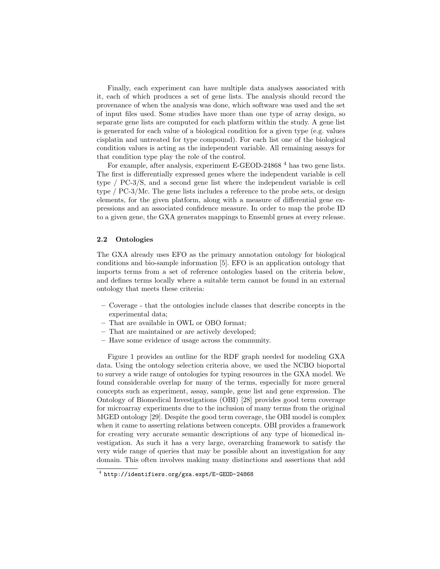Finally, each experiment can have multiple data analyses associated with it, each of which produces a set of gene lists. The analysis should record the provenance of when the analysis was done, which software was used and the set of input files used. Some studies have more than one type of array design, so separate gene lists are computed for each platform within the study. A gene list is generated for each value of a biological condition for a given type (e.g. values cisplatin and untreated for type compound). For each list one of the biological condition values is acting as the independent variable. All remaining assays for that condition type play the role of the control.

For example, after analysis, experiment E-GEOD-24868<sup>4</sup> has two gene lists. The first is differentially expressed genes where the independent variable is cell type / PC-3/S, and a second gene list where the independent variable is cell type / PC-3/Mc. The gene lists includes a reference to the probe sets, or design elements, for the given platform, along with a measure of differential gene expressions and an associated confidence measure. In order to map the probe ID to a given gene, the GXA generates mappings to Ensembl genes at every release.

# 2.2 Ontologies

The GXA already uses EFO as the primary annotation ontology for biological conditions and bio-sample information [5]. EFO is an application ontology that imports terms from a set of reference ontologies based on the criteria below, and defines terms locally where a suitable term cannot be found in an external ontology that meets these criteria:

- Coverage that the ontologies include classes that describe concepts in the experimental data;
- That are available in OWL or OBO format;
- That are maintained or are actively developed;
- Have some evidence of usage across the community.

Figure 1 provides an outline for the RDF graph needed for modeling GXA data. Using the ontology selection criteria above, we used the NCBO bioportal to survey a wide range of ontologies for typing resources in the GXA model. We found considerable overlap for many of the terms, especially for more general concepts such as experiment, assay, sample, gene list and gene expression. The Ontology of Biomedical Investigations (OBI) [28] provides good term coverage for microarray experiments due to the inclusion of many terms from the original MGED ontology [29]. Despite the good term coverage, the OBI model is complex when it came to asserting relations between concepts. OBI provides a framework for creating very accurate semantic descriptions of any type of biomedical investigation. As such it has a very large, overarching framework to satisfy the very wide range of queries that may be possible about an investigation for any domain. This often involves making many distinctions and assertions that add

<sup>4</sup> http://identifiers.org/gxa.expt/E-GEOD-24868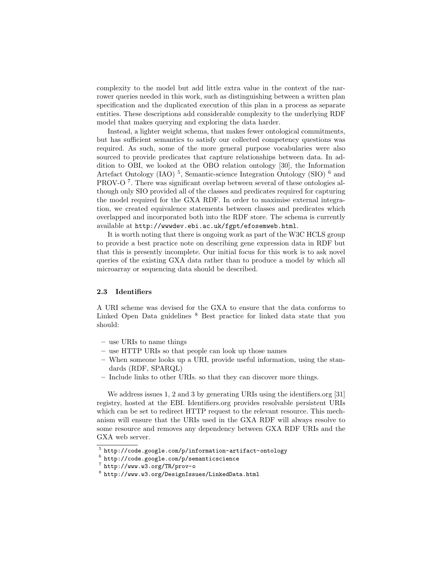complexity to the model but add little extra value in the context of the narrower queries needed in this work, such as distinguishing between a written plan specification and the duplicated execution of this plan in a process as separate entities. These descriptions add considerable complexity to the underlying RDF model that makes querying and exploring the data harder.

Instead, a lighter weight schema, that makes fewer ontological commitments, but has sufficient semantics to satisfy our collected competency questions was required. As such, some of the more general purpose vocabularies were also sourced to provide predicates that capture relationships between data. In addition to OBI, we looked at the OBO relation ontology [30], the Information Artefact Ontology (IAO)<sup>5</sup>, Semantic-science Integration Ontology (SIO)<sup>6</sup> and PROV-O<sup>7</sup>. There was significant overlap between several of these ontologies although only SIO provided all of the classes and predicates required for capturing the model required for the GXA RDF. In order to maximise external integration, we created equivalence statements between classes and predicates which overlapped and incorporated both into the RDF store. The schema is currently available at http://wwwdev.ebi.ac.uk/fgpt/efosemweb.html.

It is worth noting that there is ongoing work as part of the W3C HCLS group to provide a best practice note on describing gene expression data in RDF but that this is presently incomplete. Our initial focus for this work is to ask novel queries of the existing GXA data rather than to produce a model by which all microarray or sequencing data should be described.

#### 2.3 Identifiers

A URI scheme was devised for the GXA to ensure that the data conforms to Linked Open Data guidelines <sup>8</sup> Best practice for linked data state that you should:

- use URIs to name things
- use HTTP URIs so that people can look up those names
- When someone looks up a URI, provide useful information, using the standards (RDF, SPARQL)
- Include links to other URIs. so that they can discover more things.

We address issues 1, 2 and 3 by generating URIs using the identifiers.org [31] registry, hosted at the EBI. Identifiers.org provides resolvable persistent URIs which can be set to redirect HTTP request to the relevant resource. This mechanism will ensure that the URIs used in the GXA RDF will always resolve to some resource and removes any dependency between GXA RDF URIs and the GXA web server.

 $^5$  http://code.google.com/p/information-artifact-ontology

 $^6$  http://code.google.com/p/semanticscience

<sup>7</sup> http://www.w3.org/TR/prov-o

 $^8$  http://www.w3.org/DesignIssues/LinkedData.html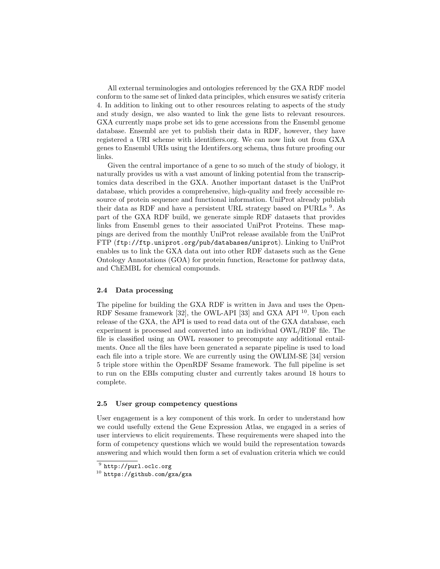All external terminologies and ontologies referenced by the GXA RDF model conform to the same set of linked data principles, which ensures we satisfy criteria 4. In addition to linking out to other resources relating to aspects of the study and study design, we also wanted to link the gene lists to relevant resources. GXA currently maps probe set ids to gene accessions from the Ensembl genome database. Ensembl are yet to publish their data in RDF, however, they have registered a URI scheme with identifiers.org. We can now link out from GXA genes to Ensembl URIs using the Identifers.org schema, thus future proofing our links.

Given the central importance of a gene to so much of the study of biology, it naturally provides us with a vast amount of linking potential from the transcriptomics data described in the GXA. Another important dataset is the UniProt database, which provides a comprehensive, high-quality and freely accessible resource of protein sequence and functional information. UniProt already publish their data as RDF and have a persistent URL strategy based on PURLs <sup>9</sup>. As part of the GXA RDF build, we generate simple RDF datasets that provides links from Ensembl genes to their associated UniProt Proteins. These mappings are derived from the monthly UniProt release available from the UniProt FTP (ftp://ftp.uniprot.org/pub/databases/uniprot). Linking to UniProt enables us to link the GXA data out into other RDF datasets such as the Gene Ontology Annotations (GOA) for protein function, Reactome for pathway data, and ChEMBL for chemical compounds.

#### 2.4 Data processing

The pipeline for building the GXA RDF is written in Java and uses the Open-RDF Sesame framework [32], the OWL-API [33] and GXA API <sup>10</sup>. Upon each release of the GXA, the API is used to read data out of the GXA database, each experiment is processed and converted into an individual OWL/RDF file. The file is classified using an OWL reasoner to precompute any additional entailments. Once all the files have been generated a separate pipeline is used to load each file into a triple store. We are currently using the OWLIM-SE [34] version 5 triple store within the OpenRDF Sesame framework. The full pipeline is set to run on the EBIs computing cluster and currently takes around 18 hours to complete.

#### 2.5 User group competency questions

User engagement is a key component of this work. In order to understand how we could usefully extend the Gene Expression Atlas, we engaged in a series of user interviews to elicit requirements. These requirements were shaped into the form of competency questions which we would build the representation towards answering and which would then form a set of evaluation criteria which we could

 $^9$  http://purl.oclc.org

<sup>10</sup> https://github.com/gxa/gxa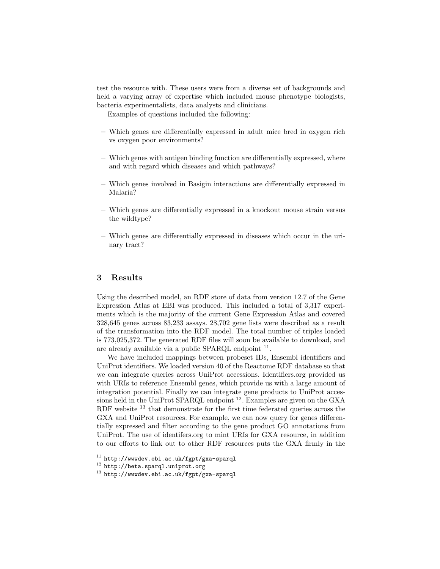test the resource with. These users were from a diverse set of backgrounds and held a varying array of expertise which included mouse phenotype biologists, bacteria experimentalists, data analysts and clinicians.

Examples of questions included the following:

- Which genes are differentially expressed in adult mice bred in oxygen rich vs oxygen poor environments?
- Which genes with antigen binding function are differentially expressed, where and with regard which diseases and which pathways?
- Which genes involved in Basigin interactions are differentially expressed in Malaria?
- Which genes are differentially expressed in a knockout mouse strain versus the wildtype?
- Which genes are differentially expressed in diseases which occur in the urinary tract?

# 3 Results

Using the described model, an RDF store of data from version 12.7 of the Gene Expression Atlas at EBI was produced. This included a total of 3,317 experiments which is the majority of the current Gene Expression Atlas and covered 328,645 genes across 83,233 assays. 28,702 gene lists were described as a result of the transformation into the RDF model. The total number of triples loaded is 773,025,372. The generated RDF files will soon be available to download, and are already available via a public SPARQL endpoint <sup>11</sup>.

We have included mappings between probeset IDs, Ensembl identifiers and UniProt identifiers. We loaded version 40 of the Reactome RDF database so that we can integrate queries across UniProt accessions. Identifiers.org provided us with URIs to reference Ensembl genes, which provide us with a large amount of integration potential. Finally we can integrate gene products to UniProt accessions held in the UniProt SPARQL endpoint  $^{12}$ . Examples are given on the GXA RDF website  $^{13}$  that demonstrate for the first time federated queries across the GXA and UniProt resources. For example, we can now query for genes differentially expressed and filter according to the gene product GO annotations from UniProt. The use of identifers.org to mint URIs for GXA resource, in addition to our efforts to link out to other RDF resources puts the GXA firmly in the

 $^{11}$  http://wwwdev.ebi.ac.uk/fgpt/gxa-sparql

 $^{12}$ http://beta.sparql.uniprot.org

<sup>13</sup> http://wwwdev.ebi.ac.uk/fgpt/gxa-sparql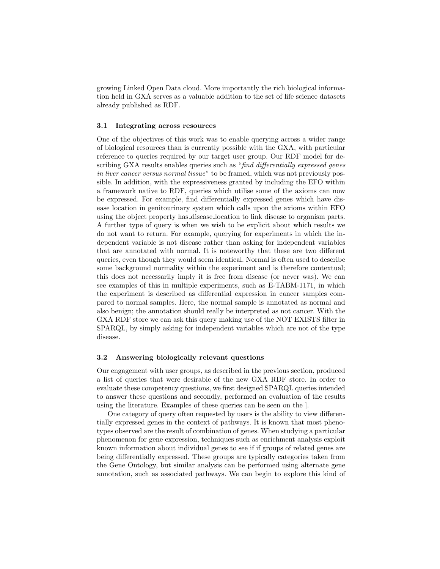growing Linked Open Data cloud. More importantly the rich biological information held in GXA serves as a valuable addition to the set of life science datasets already published as RDF.

#### 3.1 Integrating across resources

One of the objectives of this work was to enable querying across a wider range of biological resources than is currently possible with the GXA, with particular reference to queries required by our target user group. Our RDF model for describing GXA results enables queries such as "find differentially expressed genes in liver cancer versus normal tissue" to be framed, which was not previously possible. In addition, with the expressiveness granted by including the EFO within a framework native to RDF, queries which utilise some of the axioms can now be expressed. For example, find differentially expressed genes which have disease location in genitourinary system which calls upon the axioms within EFO using the object property has disease location to link disease to organism parts. A further type of query is when we wish to be explicit about which results we do not want to return. For example, querying for experiments in which the independent variable is not disease rather than asking for independent variables that are annotated with normal. It is noteworthy that these are two different queries, even though they would seem identical. Normal is often used to describe some background normality within the experiment and is therefore contextual; this does not necessarily imply it is free from disease (or never was). We can see examples of this in multiple experiments, such as E-TABM-1171, in which the experiment is described as differential expression in cancer samples compared to normal samples. Here, the normal sample is annotated as normal and also benign; the annotation should really be interpreted as not cancer. With the GXA RDF store we can ask this query making use of the NOT EXISTS filter in SPARQL, by simply asking for independent variables which are not of the type disease.

#### 3.2 Answering biologically relevant questions

Our engagement with user groups, as described in the previous section, produced a list of queries that were desirable of the new GXA RDF store. In order to evaluate these competency questions, we first designed SPARQL queries intended to answer these questions and secondly, performed an evaluation of the results using the literature. Examples of these queries can be seen on the ].

One category of query often requested by users is the ability to view differentially expressed genes in the context of pathways. It is known that most phenotypes observed are the result of combination of genes. When studying a particular phenomenon for gene expression, techniques such as enrichment analysis exploit known information about individual genes to see if if groups of related genes are being differentially expressed. These groups are typically categories taken from the Gene Ontology, but similar analysis can be performed using alternate gene annotation, such as associated pathways. We can begin to explore this kind of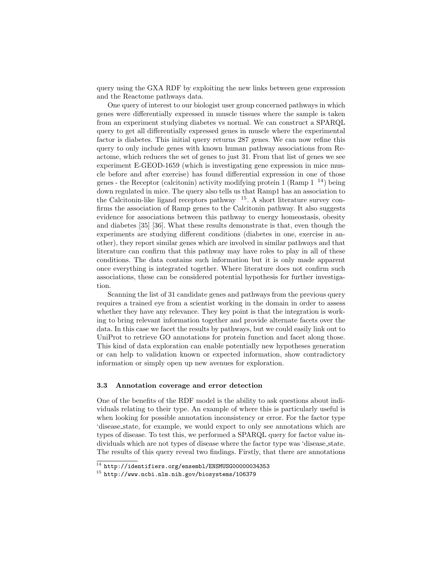query using the GXA RDF by exploiting the new links between gene expression and the Reactome pathways data.

One query of interest to our biologist user group concerned pathways in which genes were differentially expressed in muscle tissues where the sample is taken from an experiment studying diabetes vs normal. We can construct a SPARQL query to get all differentially expressed genes in muscle where the experimental factor is diabetes. This initial query returns 287 genes. We can now refine this query to only include genes with known human pathway associations from Reactome, which reduces the set of genes to just 31. From that list of genes we see experiment E-GEOD-1659 (which is investigating gene expression in mice muscle before and after exercise) has found differential expression in one of those genes - the Receptor (calcitonin) activity modifying protein 1 (Ramp  $1^{-14}$ ) being down regulated in mice. The query also tells us that Ramp1 has an association to the Calcitonin-like ligand receptors pathway  $15$ . A short literature survey confirms the association of Ramp genes to the Calcitonin pathway. It also suggests evidence for associations between this pathway to energy homeostasis, obesity and diabetes [35] [36]. What these results demonstrate is that, even though the experiments are studying different conditions (diabetes in one, exercise in another), they report similar genes which are involved in similar pathways and that literature can confirm that this pathway may have roles to play in all of these conditions. The data contains such information but it is only made apparent once everything is integrated together. Where literature does not confirm such associations, these can be considered potential hypothesis for further investigation.

Scanning the list of 31 candidate genes and pathways from the previous query requires a trained eye from a scientist working in the domain in order to assess whether they have any relevance. They key point is that the integration is working to bring relevant information together and provide alternate facets over the data. In this case we facet the results by pathways, but we could easily link out to UniProt to retrieve GO annotations for protein function and facet along those. This kind of data exploration can enable potentially new hypotheses generation or can help to validation known or expected information, show contradictory information or simply open up new avenues for exploration.

## 3.3 Annotation coverage and error detection

One of the benefits of the RDF model is the ability to ask questions about individuals relating to their type. An example of where this is particularly useful is when looking for possible annotation inconsistency or error. For the factor type 'disease state, for example, we would expect to only see annotations which are types of disease. To test this, we performed a SPARQL query for factor value individuals which are not types of disease where the factor type was 'disease state. The results of this query reveal two findings. Firstly, that there are annotations

 $14$  http://identifiers.org/ensembl/ENSMUSG00000034353

<sup>15</sup> http://www.ncbi.nlm.nih.gov/biosystems/106379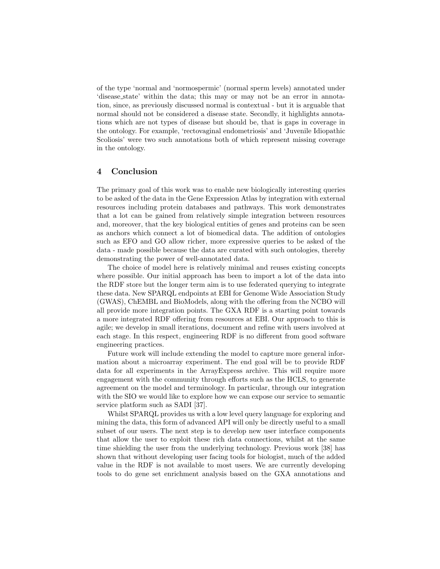of the type 'normal and 'normospermic' (normal sperm levels) annotated under 'disease state' within the data; this may or may not be an error in annotation, since, as previously discussed normal is contextual - but it is arguable that normal should not be considered a disease state. Secondly, it highlights annotations which are not types of disease but should be, that is gaps in coverage in the ontology. For example, 'rectovaginal endometriosis' and 'Juvenile Idiopathic Scoliosis' were two such annotations both of which represent missing coverage in the ontology.

# 4 Conclusion

The primary goal of this work was to enable new biologically interesting queries to be asked of the data in the Gene Expression Atlas by integration with external resources including protein databases and pathways. This work demonstrates that a lot can be gained from relatively simple integration between resources and, moreover, that the key biological entities of genes and proteins can be seen as anchors which connect a lot of biomedical data. The addition of ontologies such as EFO and GO allow richer, more expressive queries to be asked of the data - made possible because the data are curated with such ontologies, thereby demonstrating the power of well-annotated data.

The choice of model here is relatively minimal and reuses existing concepts where possible. Our initial approach has been to import a lot of the data into the RDF store but the longer term aim is to use federated querying to integrate these data. New SPARQL endpoints at EBI for Genome Wide Association Study (GWAS), ChEMBL and BioModels, along with the offering from the NCBO will all provide more integration points. The GXA RDF is a starting point towards a more integrated RDF offering from resources at EBI. Our approach to this is agile; we develop in small iterations, document and refine with users involved at each stage. In this respect, engineering RDF is no different from good software engineering practices.

Future work will include extending the model to capture more general information about a microarray experiment. The end goal will be to provide RDF data for all experiments in the ArrayExpress archive. This will require more engagement with the community through efforts such as the HCLS, to generate agreement on the model and terminology. In particular, through our integration with the SIO we would like to explore how we can expose our service to semantic service platform such as SADI [37].

Whilst SPARQL provides us with a low level query language for exploring and mining the data, this form of advanced API will only be directly useful to a small subset of our users. The next step is to develop new user interface components that allow the user to exploit these rich data connections, whilst at the same time shielding the user from the underlying technology. Previous work [38] has shown that without developing user facing tools for biologist, much of the added value in the RDF is not available to most users. We are currently developing tools to do gene set enrichment analysis based on the GXA annotations and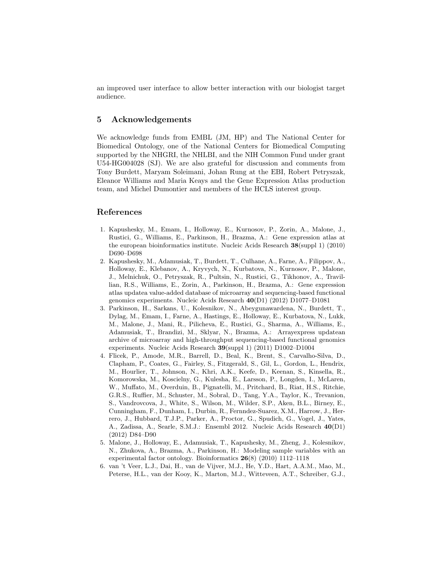an improved user interface to allow better interaction with our biologist target audience.

# 5 Acknowledgements

We acknowledge funds from EMBL (JM, HP) and The National Center for Biomedical Ontology, one of the National Centers for Biomedical Computing supported by the NHGRI, the NHLBI, and the NIH Common Fund under grant U54-HG004028 (SJ). We are also grateful for discussion and comments from Tony Burdett, Maryam Soleimani, Johan Rung at the EBI, Robert Petryszak, Eleanor Williams and Maria Keays and the Gene Expression Atlas production team, and Michel Dumontier and members of the HCLS interest group.

# References

- 1. Kapushesky, M., Emam, I., Holloway, E., Kurnosov, P., Zorin, A., Malone, J., Rustici, G., Williams, E., Parkinson, H., Brazma, A.: Gene expression atlas at the european bioinformatics institute. Nucleic Acids Research 38(suppl 1) (2010) D690–D698
- 2. Kapushesky, M., Adamusiak, T., Burdett, T., Culhane, A., Farne, A., Filippov, A., Holloway, E., Klebanov, A., Kryvych, N., Kurbatova, N., Kurnosov, P., Malone, J., Melnichuk, O., Petryszak, R., Pultsin, N., Rustici, G., Tikhonov, A., Travillian, R.S., Williams, E., Zorin, A., Parkinson, H., Brazma, A.: Gene expression atlas updatea value-added database of microarray and sequencing-based functional genomics experiments. Nucleic Acids Research 40(D1) (2012) D1077–D1081
- 3. Parkinson, H., Sarkans, U., Kolesnikov, N., Abeygunawardena, N., Burdett, T., Dylag, M., Emam, I., Farne, A., Hastings, E., Holloway, E., Kurbatova, N., Lukk, M., Malone, J., Mani, R., Pilicheva, E., Rustici, G., Sharma, A., Williams, E., Adamusiak, T., Brandizi, M., Sklyar, N., Brazma, A.: Arrayexpress updatean archive of microarray and high-throughput sequencing-based functional genomics experiments. Nucleic Acids Research 39(suppl 1) (2011) D1002–D1004
- 4. Flicek, P., Amode, M.R., Barrell, D., Beal, K., Brent, S., Carvalho-Silva, D., Clapham, P., Coates, G., Fairley, S., Fitzgerald, S., Gil, L., Gordon, L., Hendrix, M., Hourlier, T., Johnson, N., Khri, A.K., Keefe, D., Keenan, S., Kinsella, R., Komorowska, M., Koscielny, G., Kulesha, E., Larsson, P., Longden, I., McLaren, W., Muffato, M., Overduin, B., Pignatelli, M., Pritchard, B., Riat, H.S., Ritchie, G.R.S., Ruffier, M., Schuster, M., Sobral, D., Tang, Y.A., Taylor, K., Trevanion, S., Vandrovcova, J., White, S., Wilson, M., Wilder, S.P., Aken, B.L., Birney, E., Cunningham, F., Dunham, I., Durbin, R., Fernndez-Suarez, X.M., Harrow, J., Herrero, J., Hubbard, T.J.P., Parker, A., Proctor, G., Spudich, G., Vogel, J., Yates, A., Zadissa, A., Searle, S.M.J.: Ensembl 2012. Nucleic Acids Research 40(D1) (2012) D84–D90
- 5. Malone, J., Holloway, E., Adamusiak, T., Kapushesky, M., Zheng, J., Kolesnikov, N., Zhukova, A., Brazma, A., Parkinson, H.: Modeling sample variables with an experimental factor ontology. Bioinformatics 26(8) (2010) 1112–1118
- 6. van 't Veer, L.J., Dai, H., van de Vijver, M.J., He, Y.D., Hart, A.A.M., Mao, M., Peterse, H.L., van der Kooy, K., Marton, M.J., Witteveen, A.T., Schreiber, G.J.,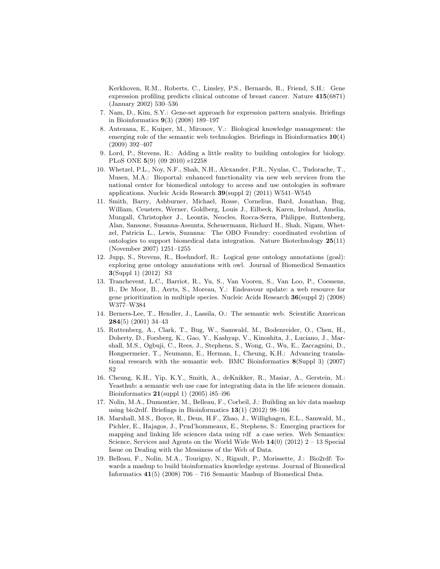Kerkhoven, R.M., Roberts, C., Linsley, P.S., Bernards, R., Friend, S.H.: Gene expression profiling predicts clinical outcome of breast cancer. Nature 415(6871) (January 2002) 530–536

- 7. Nam, D., Kim, S.Y.: Gene-set approach for expression pattern analysis. Briefings in Bioinformatics 9(3) (2008) 189–197
- 8. Antezana, E., Kuiper, M., Mironov, V.: Biological knowledge management: the emerging role of the semantic web technologies. Briefings in Bioinformatics  $10(4)$ (2009) 392–407
- 9. Lord, P., Stevens, R.: Adding a little reality to building ontologies for biology. PLoS ONE 5(9) (09 2010) e12258
- 10. Whetzel, P.L., Noy, N.F., Shah, N.H., Alexander, P.R., Nyulas, C., Tudorache, T., Musen, M.A.: Bioportal: enhanced functionality via new web services from the national center for biomedical ontology to access and use ontologies in software applications. Nucleic Acids Research 39(suppl 2) (2011) W541–W545
- 11. Smith, Barry, Ashburner, Michael, Rosse, Cornelius, Bard, Jonathan, Bug, William, Ceusters, Werner, Goldberg, Louis J., Eilbeck, Karen, Ireland, Amelia, Mungall, Christopher J., Leontis, Neocles, Rocca-Serra, Philippe, Ruttenberg, Alan, Sansone, Susanna-Assunta, Scheuermann, Richard H., Shah, Nigam, Whetzel, Patricia L., Lewis, Suzanna: The OBO Foundry: coordinated evolution of ontologies to support biomedical data integration. Nature Biotechnology 25(11) (November 2007) 1251–1255
- 12. Jupp, S., Stevens, R., Hoehndorf, R.: Logical gene ontology annotations (goal): exploring gene ontology annotations with owl. Journal of Biomedical Semantics 3(Suppl 1) (2012) S3
- 13. Tranchevent, L.C., Barriot, R., Yu, S., Van Vooren, S., Van Loo, P., Coessens, B., De Moor, B., Aerts, S., Moreau, Y.: Endeavour update: a web resource for gene prioritization in multiple species. Nucleic Acids Research 36(suppl 2) (2008) W377–W384
- 14. Berners-Lee, T., Hendler, J., Lassila, O.: The semantic web. Scientific American 284(5) (2001) 34–43
- 15. Ruttenberg, A., Clark, T., Bug, W., Samwald, M., Bodenreider, O., Chen, H., Doherty, D., Forsberg, K., Gao, Y., Kashyap, V., Kinoshita, J., Luciano, J., Marshall, M.S., Ogbuji, C., Rees, J., Stephens, S., Wong, G., Wu, E., Zaccagnini, D., Hongsermeier, T., Neumann, E., Herman, I., Cheung, K.H.: Advancing translational research with the semantic web. BMC Bioinformatics 8(Suppl 3) (2007) S2
- 16. Cheung, K.H., Yip, K.Y., Smith, A., deKnikker, R., Masiar, A., Gerstein, M.: Yeasthub: a semantic web use case for integrating data in the life sciences domain. Bioinformatics  $21$ (suppl 1) (2005) i85–i96
- 17. Nolin, M.A., Dumontier, M., Belleau, F., Corbeil, J.: Building an hiv data mashup using bio2rdf. Briefings in Bioinformatics 13(1) (2012) 98–106
- 18. Marshall, M.S., Boyce, R., Deus, H.F., Zhao, J., Willighagen, E.L., Samwald, M., Pichler, E., Hajagos, J., Prud'hommeaux, E., Stephens, S.: Emerging practices for mapping and linking life sciences data using rdf a case series. Web Semantics: Science, Services and Agents on the World Wide Web  $14(0)$  (2012) 2 – 13 Special Issue on Dealing with the Messiness of the Web of Data.
- 19. Belleau, F., Nolin, M.A., Tourigny, N., Rigault, P., Morissette, J.: Bio2rdf: Towards a mashup to build bioinformatics knowledge systems. Journal of Biomedical Informatics  $41(5)$  (2008) 706 – 716 Semantic Mashup of Biomedical Data.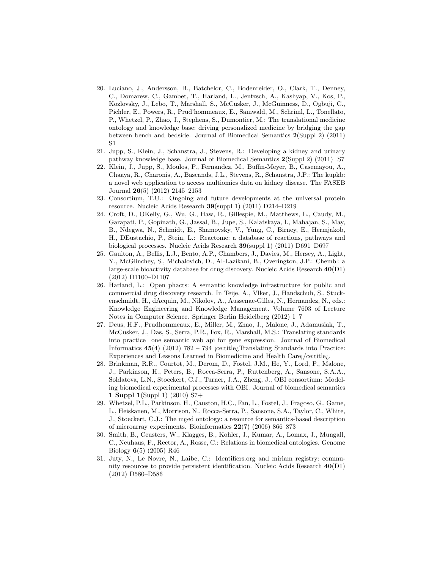- 20. Luciano, J., Andersson, B., Batchelor, C., Bodenreider, O., Clark, T., Denney, C., Domarew, C., Gambet, T., Harland, L., Jentzsch, A., Kashyap, V., Kos, P., Kozlovsky, J., Lebo, T., Marshall, S., McCusker, J., McGuinness, D., Ogbuji, C., Pichler, E., Powers, R., Prud'hommeaux, E., Samwald, M., Schriml, L., Tonellato, P., Whetzel, P., Zhao, J., Stephens, S., Dumontier, M.: The translational medicine ontology and knowledge base: driving personalized medicine by bridging the gap between bench and bedside. Journal of Biomedical Semantics 2(Suppl 2) (2011) S1
- 21. Jupp, S., Klein, J., Schanstra, J., Stevens, R.: Developing a kidney and urinary pathway knowledge base. Journal of Biomedical Semantics 2(Suppl 2) (2011) S7
- 22. Klein, J., Jupp, S., Moulos, P., Fernandez, M., Buffin-Meyer, B., Casemayou, A., Chaaya, R., Charonis, A., Bascands, J.L., Stevens, R., Schanstra, J.P.: The kupkb: a novel web application to access multiomics data on kidney disease. The FASEB Journal 26(5) (2012) 2145–2153
- 23. Consortium, T.U.: Ongoing and future developments at the universal protein resource. Nucleic Acids Research 39(suppl 1) (2011) D214–D219
- 24. Croft, D., OKelly, G., Wu, G., Haw, R., Gillespie, M., Matthews, L., Caudy, M., Garapati, P., Gopinath, G., Jassal, B., Jupe, S., Kalatskaya, I., Mahajan, S., May, B., Ndegwa, N., Schmidt, E., Shamovsky, V., Yung, C., Birney, E., Hermjakob, H., DEustachio, P., Stein, L.: Reactome: a database of reactions, pathways and biological processes. Nucleic Acids Research 39(suppl 1) (2011) D691–D697
- 25. Gaulton, A., Bellis, L.J., Bento, A.P., Chambers, J., Davies, M., Hersey, A., Light, Y., McGlinchey, S., Michalovich, D., Al-Lazikani, B., Overington, J.P.: Chembl: a large-scale bioactivity database for drug discovery. Nucleic Acids Research 40(D1) (2012) D1100–D1107
- 26. Harland, L.: Open phacts: A semantic knowledge infrastructure for public and commercial drug discovery research. In Teije, A., Vlker, J., Handschuh, S., Stuckenschmidt, H., dAcquin, M., Nikolov, A., Aussenac-Gilles, N., Hernandez, N., eds.: Knowledge Engineering and Knowledge Management. Volume 7603 of Lecture Notes in Computer Science. Springer Berlin Heidelberg (2012) 1–7
- 27. Deus, H.F., Prudhommeaux, E., Miller, M., Zhao, J., Malone, J., Adamusiak, T., McCusker, J., Das, S., Serra, P.R., Fox, R., Marshall, M.S.: Translating standards into practice one semantic web api for gene expression. Journal of Biomedical Informatics  $45(4)$  (2012) 782 – 794 jce:title; Translating Standards into Practice: Experiences and Lessons Learned in Biomedicine and Health Care¡/ce:title¿.
- 28. Brinkman, R.R., Courtot, M., Derom, D., Fostel, J.M., He, Y., Lord, P., Malone, J., Parkinson, H., Peters, B., Rocca-Serra, P., Ruttenberg, A., Sansone, S.A.A., Soldatova, L.N., Stoeckert, C.J., Turner, J.A., Zheng, J., OBI consortium: Modeling biomedical experimental processes with OBI. Journal of biomedical semantics 1 Suppl 1(Suppl 1) (2010) S7+
- 29. Whetzel, P.L., Parkinson, H., Causton, H.C., Fan, L., Fostel, J., Fragoso, G., Game, L., Heiskanen, M., Morrison, N., Rocca-Serra, P., Sansone, S.A., Taylor, C., White, J., Stoeckert, C.J.: The mged ontology: a resource for semantics-based description of microarray experiments. Bioinformatics 22(7) (2006) 866–873
- 30. Smith, B., Ceusters, W., Klagges, B., Kohler, J., Kumar, A., Lomax, J., Mungall, C., Neuhaus, F., Rector, A., Rosse, C.: Relations in biomedical ontologies. Genome Biology 6(5) (2005) R46
- 31. Juty, N., Le Novre, N., Laibe, C.: Identifiers.org and miriam registry: community resources to provide persistent identification. Nucleic Acids Research 40(D1) (2012) D580–D586